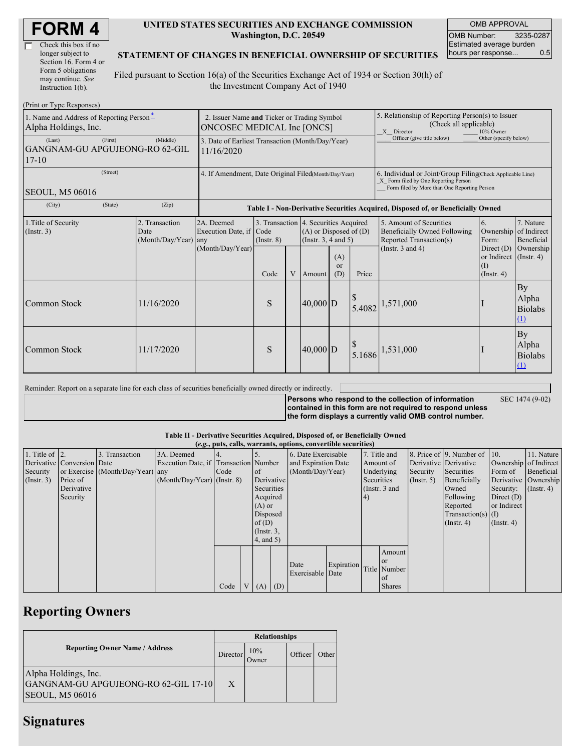| Check this box if no  |
|-----------------------|
| longer subject to     |
| Section 16. Form 4 or |
| Form 5 obligations    |
| may continue. See     |
| Instruction 1(b).     |

#### **UNITED STATES SECURITIES AND EXCHANGE COMMISSION Washington, D.C. 20549**

OMB APPROVAL OMB Number: 3235-0287 Estimated average burden hours per response... 0.5

### **STATEMENT OF CHANGES IN BENEFICIAL OWNERSHIP OF SECURITIES**

Filed pursuant to Section 16(a) of the Securities Exchange Act of 1934 or Section 30(h) of the Investment Company Act of 1940

| (Print or Type Responses)                                        |                                                                           |                                            |                                                                                  |                                                                  |   |                                                                  |                                                                                                                                                    |                       |                                                                                                             |                                                                                        |                                                               |
|------------------------------------------------------------------|---------------------------------------------------------------------------|--------------------------------------------|----------------------------------------------------------------------------------|------------------------------------------------------------------|---|------------------------------------------------------------------|----------------------------------------------------------------------------------------------------------------------------------------------------|-----------------------|-------------------------------------------------------------------------------------------------------------|----------------------------------------------------------------------------------------|---------------------------------------------------------------|
| 1. Name and Address of Reporting Person-<br>Alpha Holdings, Inc. | 2. Issuer Name and Ticker or Trading Symbol<br>ONCOSEC MEDICAL Inc [ONCS] |                                            |                                                                                  |                                                                  |   |                                                                  | 5. Relationship of Reporting Person(s) to Issuer<br>(Check all applicable)<br>X Director<br>10% Owner                                              |                       |                                                                                                             |                                                                                        |                                                               |
| (Last)<br>GANGNAM-GU APGUJEONG-RO 62-GIL<br>$17 - 10$            | 3. Date of Earliest Transaction (Month/Day/Year)<br>11/16/2020            |                                            |                                                                                  |                                                                  |   |                                                                  | Officer (give title below)                                                                                                                         | Other (specify below) |                                                                                                             |                                                                                        |                                                               |
| SEOUL, M5 06016                                                  | 4. If Amendment, Date Original Filed Month/Day/Year)                      |                                            |                                                                                  |                                                                  |   |                                                                  | 6. Individual or Joint/Group Filing(Check Applicable Line)<br>X Form filed by One Reporting Person<br>Form filed by More than One Reporting Person |                       |                                                                                                             |                                                                                        |                                                               |
| (City)                                                           | (State)                                                                   | (Zip)                                      | Table I - Non-Derivative Securities Acquired, Disposed of, or Beneficially Owned |                                                                  |   |                                                                  |                                                                                                                                                    |                       |                                                                                                             |                                                                                        |                                                               |
| 1. Title of Security<br>$($ Instr. 3 $)$                         |                                                                           | 2. Transaction<br>Date<br>(Month/Day/Year) | 2A. Deemed<br>Execution Date, if Code<br>any<br>(Month/Day/Year)                 | 3. Transaction 4. Securities Acquired<br>$($ Instr. $8)$<br>Code | V | $(A)$ or Disposed of $(D)$<br>(Instr. $3, 4$ and $5$ )<br>Amount | (A)<br><sub>or</sub><br>(D)                                                                                                                        | Price                 | 5. Amount of Securities<br>Beneficially Owned Following<br>Reported Transaction(s)<br>(Instr. $3$ and $4$ ) | 6.<br>Form:<br>Direct $(D)$<br>or Indirect $($ Instr. 4)<br>$($ I)<br>$($ Instr. 4 $)$ | 7. Nature<br>Ownership of Indirect<br>Beneficial<br>Ownership |
| <b>Common Stock</b>                                              |                                                                           | 11/16/2020                                 |                                                                                  | S                                                                |   | $40,000$ D                                                       |                                                                                                                                                    | \$<br>5.4082          | 1,571,000                                                                                                   |                                                                                        | By<br>Alpha<br><b>Biolabs</b><br>(1)                          |
| <b>Common Stock</b>                                              |                                                                           | 11/17/2020                                 |                                                                                  | S                                                                |   | $40,000$ D                                                       |                                                                                                                                                    | 5.1686                | 1,531,000                                                                                                   |                                                                                        | <b>By</b><br>Alpha<br><b>Biolabs</b><br>(1)                   |

Reminder: Report on a separate line for each class of securities beneficially owned directly or indirectly.

**Persons who respond to the collection of information contained in this form are not required to respond unless the form displays a currently valid OMB control number.**

SEC 1474 (9-02)

#### **Table II - Derivative Securities Acquired, Disposed of, or Beneficially Owned**

|                        | (e.g., puts, calls, warrants, options, convertible securities) |                                  |                                       |        |  |               |     |                     |            |               |               |                       |                          |                       |                  |
|------------------------|----------------------------------------------------------------|----------------------------------|---------------------------------------|--------|--|---------------|-----|---------------------|------------|---------------|---------------|-----------------------|--------------------------|-----------------------|------------------|
| 1. Title of $\vert$ 2. |                                                                | 3. Transaction                   | 3A. Deemed                            |        |  |               |     | 6. Date Exercisable |            |               | 7. Title and  |                       | 8. Price of 9. Number of | 110.                  | 11. Nature       |
|                        | Derivative Conversion Date                                     |                                  | Execution Date, if Transaction Number |        |  |               |     | and Expiration Date |            |               | Amount of     | Derivative Derivative |                          | Ownership of Indirect |                  |
| Security               |                                                                | or Exercise (Month/Day/Year) any |                                       | I Code |  | <sub>of</sub> |     | (Month/Day/Year)    |            |               | Underlying    | Security              | Securities               | Form of               | Beneficial       |
| (Insert. 3)            | Price of                                                       |                                  | $(Month/Day/Year)$ (Instr. 8)         |        |  | Derivative    |     |                     |            | Securities    |               | $($ Instr. 5)         | Beneficially             | Derivative Ownership  |                  |
|                        | Derivative                                                     |                                  |                                       |        |  | Securities    |     |                     |            | (Instr. 3 and |               |                       | Owned                    | Security:             | $($ Instr. 4 $)$ |
|                        | Security                                                       |                                  |                                       |        |  | Acquired      |     |                     |            | 4)            |               |                       | Following                | Direct $(D)$          |                  |
|                        |                                                                |                                  |                                       |        |  | $(A)$ or      |     |                     |            |               |               |                       | Reported                 | or Indirect           |                  |
|                        |                                                                |                                  |                                       |        |  | Disposed      |     |                     |            |               |               |                       | Transaction(s) $(I)$     |                       |                  |
|                        |                                                                |                                  |                                       |        |  | of $(D)$      |     |                     |            |               |               |                       | $($ Instr. 4 $)$         | $($ Instr. 4 $)$      |                  |
|                        |                                                                |                                  |                                       |        |  | $($ Instr. 3, |     |                     |            |               |               |                       |                          |                       |                  |
|                        |                                                                |                                  |                                       |        |  | $4$ , and 5)  |     |                     |            |               |               |                       |                          |                       |                  |
|                        |                                                                |                                  |                                       |        |  |               |     |                     |            |               | Amount        |                       |                          |                       |                  |
|                        |                                                                |                                  |                                       |        |  |               |     |                     |            |               | <sub>or</sub> |                       |                          |                       |                  |
|                        |                                                                |                                  |                                       |        |  |               |     | Date                | Expiration |               | Title Number  |                       |                          |                       |                  |
|                        |                                                                |                                  |                                       |        |  |               |     | Exercisable Date    |            |               | of            |                       |                          |                       |                  |
|                        |                                                                |                                  |                                       | Code   |  | V(A)          | (D) |                     |            |               | <b>Shares</b> |                       |                          |                       |                  |

## **Reporting Owners**

|                                                                                        | <b>Relationships</b> |              |         |       |  |  |  |
|----------------------------------------------------------------------------------------|----------------------|--------------|---------|-------|--|--|--|
| <b>Reporting Owner Name / Address</b>                                                  | Director             | 10%<br>Jwner | Officer | Other |  |  |  |
| Alpha Holdings, Inc.<br>GANGNAM-GU APGUJEONG-RO 62-GIL 17-10<br><b>SEOUL, M5 06016</b> | X                    |              |         |       |  |  |  |

## **Signatures**